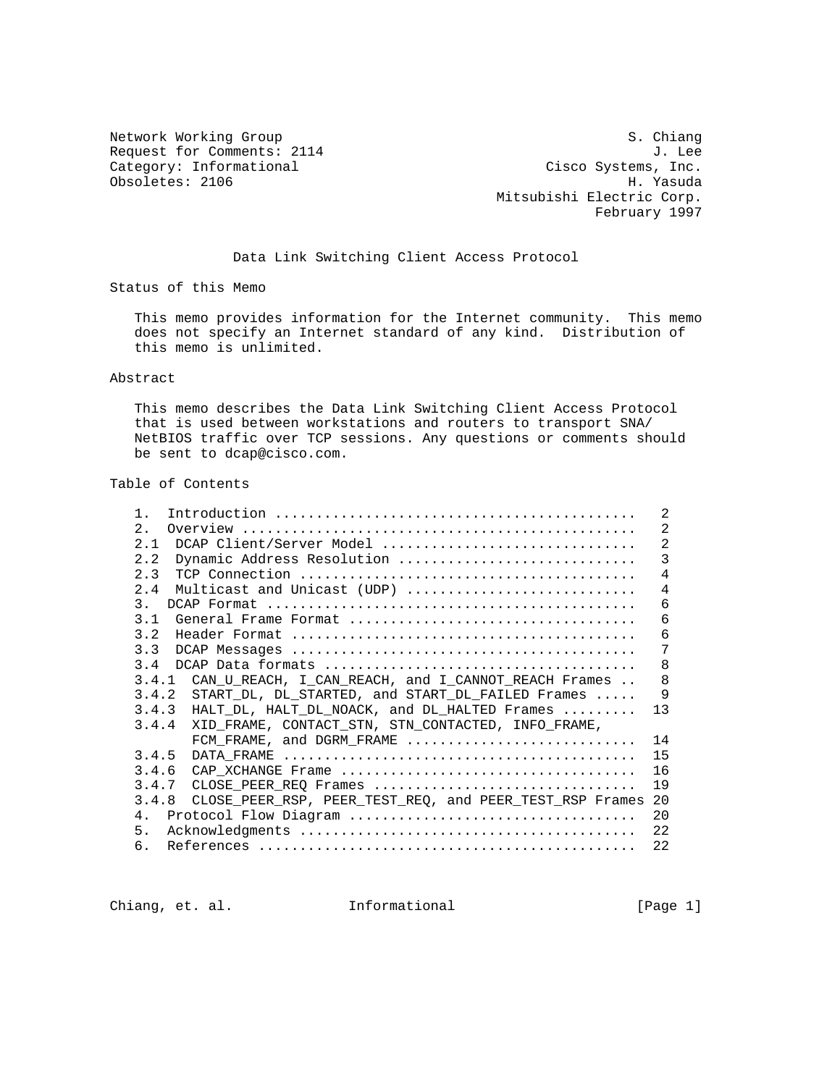Network Working Group S. Chiang Request for Comments: 2114 J. Lee<br>Category: Informational and Cisco Systems, Inc. Category: Informational Category: Cisco Systems, Inc.<br>
Obsoletes: 2106 H. Yasuda Obsoletes: 2106

 Mitsubishi Electric Corp. February 1997

Data Link Switching Client Access Protocol

Status of this Memo

 This memo provides information for the Internet community. This memo does not specify an Internet standard of any kind. Distribution of this memo is unlimited.

#### Abstract

 This memo describes the Data Link Switching Client Access Protocol that is used between workstations and routers to transport SNA/ NetBIOS traffic over TCP sessions. Any questions or comments should be sent to dcap@cisco.com.

#### Table of Contents

| $1$ .                                                                                                | 2              |
|------------------------------------------------------------------------------------------------------|----------------|
| 2.                                                                                                   | $\overline{2}$ |
| 2.1<br>DCAP Client/Server Model                                                                      | $\overline{2}$ |
| 2.2<br>Dynamic Address Resolution                                                                    | $\overline{3}$ |
| 2.3                                                                                                  | $\overline{4}$ |
| 2.4<br>Multicast and Unicast (UDP)                                                                   | $\overline{4}$ |
| 3.                                                                                                   | 6              |
| 3.1<br>General Frame Format $\ldots, \ldots, \ldots, \ldots, \ldots, \ldots, \ldots, \ldots, \ldots$ | 6              |
| 3.2                                                                                                  | 6              |
| 3.3                                                                                                  | 7              |
| 3.4                                                                                                  | 8              |
| 3.4.1<br>CAN U REACH, I CAN REACH, and I CANNOT REACH Frames                                         | 8              |
| 3.4.2<br>START DL, DL STARTED, and START DL FAILED Frames                                            | 9              |
| 3.4.3<br>HALT DL, HALT DL NOACK, and DL HALTED Frames                                                | 13             |
| 3.4.4<br>XID FRAME, CONTACT STN, STN CONTACTED, INFO FRAME,                                          |                |
| FCM_FRAME, and DGRM_FRAME                                                                            | 14             |
| 3.4.5                                                                                                | 15             |
| 3.4.6                                                                                                | 16             |
| 3.4.7<br>CLOSE PEER REO Frames                                                                       | 19             |
| 3.4.8<br>CLOSE PEER RSP, PEER TEST REQ, and PEER TEST RSP Frames                                     | - 20           |
| 4 <sub>1</sub>                                                                                       | 20             |
| 5.                                                                                                   | 22             |
| б.                                                                                                   | 22             |

Chiang, et. al. 1nformational [Page 1]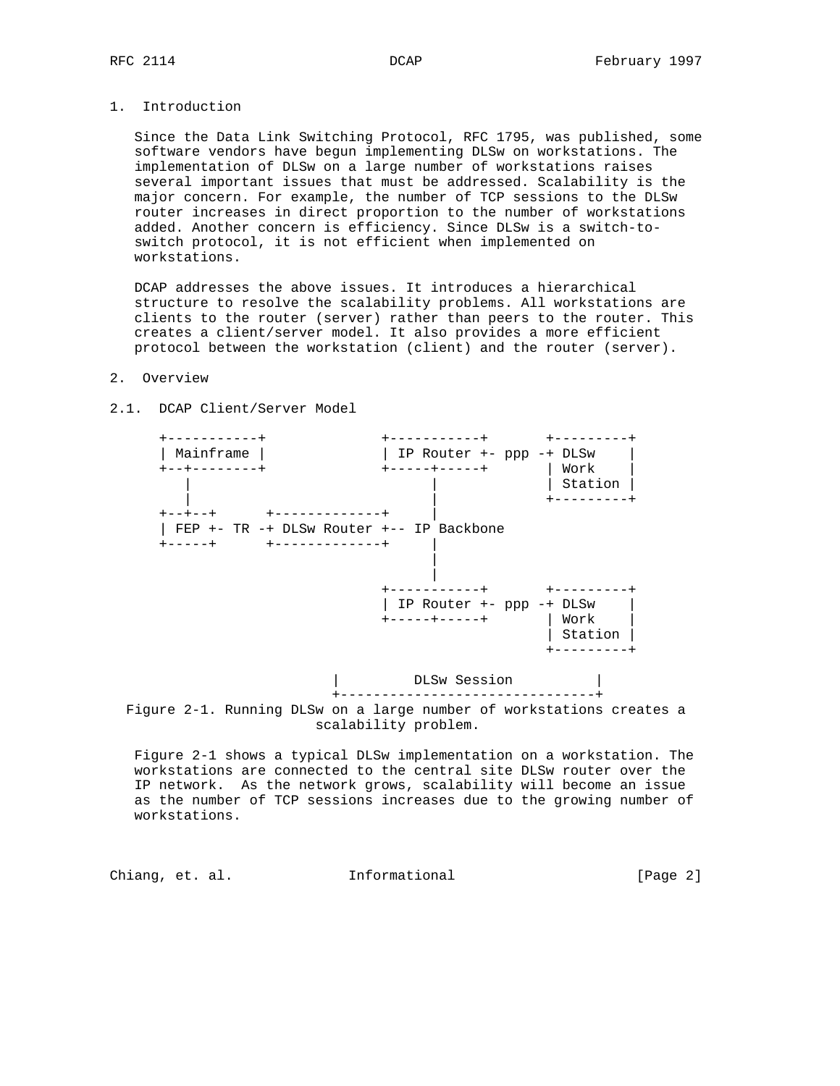### 1. Introduction

 Since the Data Link Switching Protocol, RFC 1795, was published, some software vendors have begun implementing DLSw on workstations. The implementation of DLSw on a large number of workstations raises several important issues that must be addressed. Scalability is the major concern. For example, the number of TCP sessions to the DLSw router increases in direct proportion to the number of workstations added. Another concern is efficiency. Since DLSw is a switch-to switch protocol, it is not efficient when implemented on workstations.

 DCAP addresses the above issues. It introduces a hierarchical structure to resolve the scalability problems. All workstations are clients to the router (server) rather than peers to the router. This creates a client/server model. It also provides a more efficient protocol between the workstation (client) and the router (server).

#### 2. Overview



2.1. DCAP Client/Server Model

 Figure 2-1 shows a typical DLSw implementation on a workstation. The workstations are connected to the central site DLSw router over the IP network. As the network grows, scalability will become an issue as the number of TCP sessions increases due to the growing number of workstations.

Chiang, et. al. **Informational** [Page 2]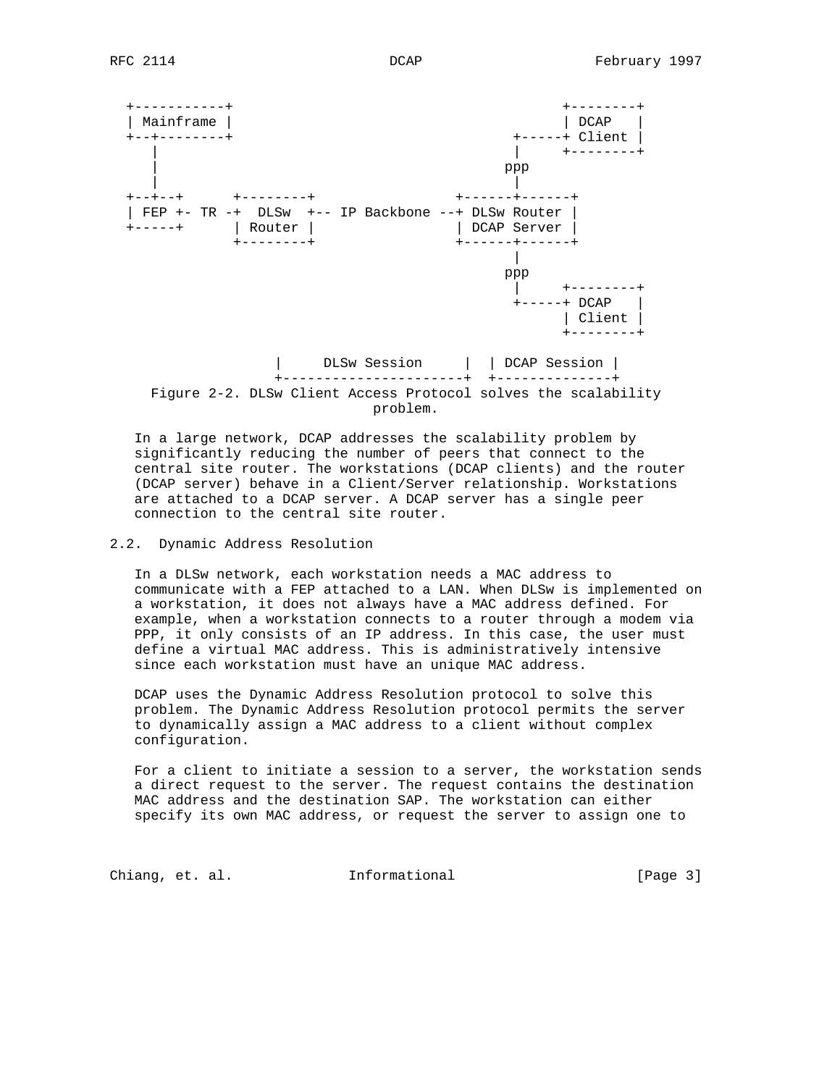

 In a large network, DCAP addresses the scalability problem by significantly reducing the number of peers that connect to the central site router. The workstations (DCAP clients) and the router (DCAP server) behave in a Client/Server relationship. Workstations are attached to a DCAP server. A DCAP server has a single peer connection to the central site router.

### 2.2. Dynamic Address Resolution

 In a DLSw network, each workstation needs a MAC address to communicate with a FEP attached to a LAN. When DLSw is implemented on a workstation, it does not always have a MAC address defined. For example, when a workstation connects to a router through a modem via PPP, it only consists of an IP address. In this case, the user must define a virtual MAC address. This is administratively intensive since each workstation must have an unique MAC address.

 DCAP uses the Dynamic Address Resolution protocol to solve this problem. The Dynamic Address Resolution protocol permits the server to dynamically assign a MAC address to a client without complex configuration.

 For a client to initiate a session to a server, the workstation sends a direct request to the server. The request contains the destination MAC address and the destination SAP. The workstation can either specify its own MAC address, or request the server to assign one to

Chiang, et. al. **Informational** [Page 3]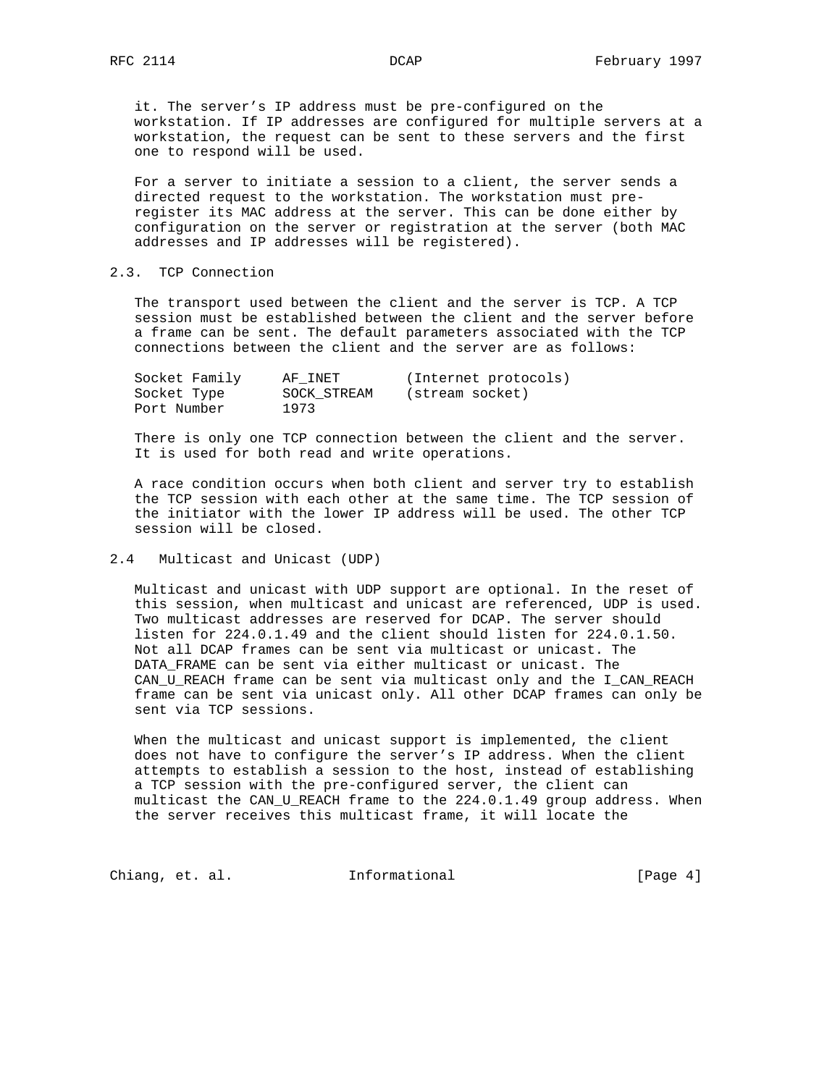it. The server's IP address must be pre-configured on the workstation. If IP addresses are configured for multiple servers at a workstation, the request can be sent to these servers and the first one to respond will be used.

 For a server to initiate a session to a client, the server sends a directed request to the workstation. The workstation must pre register its MAC address at the server. This can be done either by configuration on the server or registration at the server (both MAC addresses and IP addresses will be registered).

# 2.3. TCP Connection

 The transport used between the client and the server is TCP. A TCP session must be established between the client and the server before a frame can be sent. The default parameters associated with the TCP connections between the client and the server are as follows:

| Socket Family | AF INET     | (Internet protocols) |
|---------------|-------------|----------------------|
| Socket Type   | SOCK STREAM | (stream socket)      |
| Port Number   | 1973        |                      |

 There is only one TCP connection between the client and the server. It is used for both read and write operations.

 A race condition occurs when both client and server try to establish the TCP session with each other at the same time. The TCP session of the initiator with the lower IP address will be used. The other TCP session will be closed.

### 2.4 Multicast and Unicast (UDP)

 Multicast and unicast with UDP support are optional. In the reset of this session, when multicast and unicast are referenced, UDP is used. Two multicast addresses are reserved for DCAP. The server should listen for 224.0.1.49 and the client should listen for 224.0.1.50. Not all DCAP frames can be sent via multicast or unicast. The DATA\_FRAME can be sent via either multicast or unicast. The CAN\_U\_REACH frame can be sent via multicast only and the I\_CAN\_REACH frame can be sent via unicast only. All other DCAP frames can only be sent via TCP sessions.

 When the multicast and unicast support is implemented, the client does not have to configure the server's IP address. When the client attempts to establish a session to the host, instead of establishing a TCP session with the pre-configured server, the client can multicast the CAN\_U\_REACH frame to the 224.0.1.49 group address. When the server receives this multicast frame, it will locate the

Chiang, et. al. 1nformational 1999 [Page 4]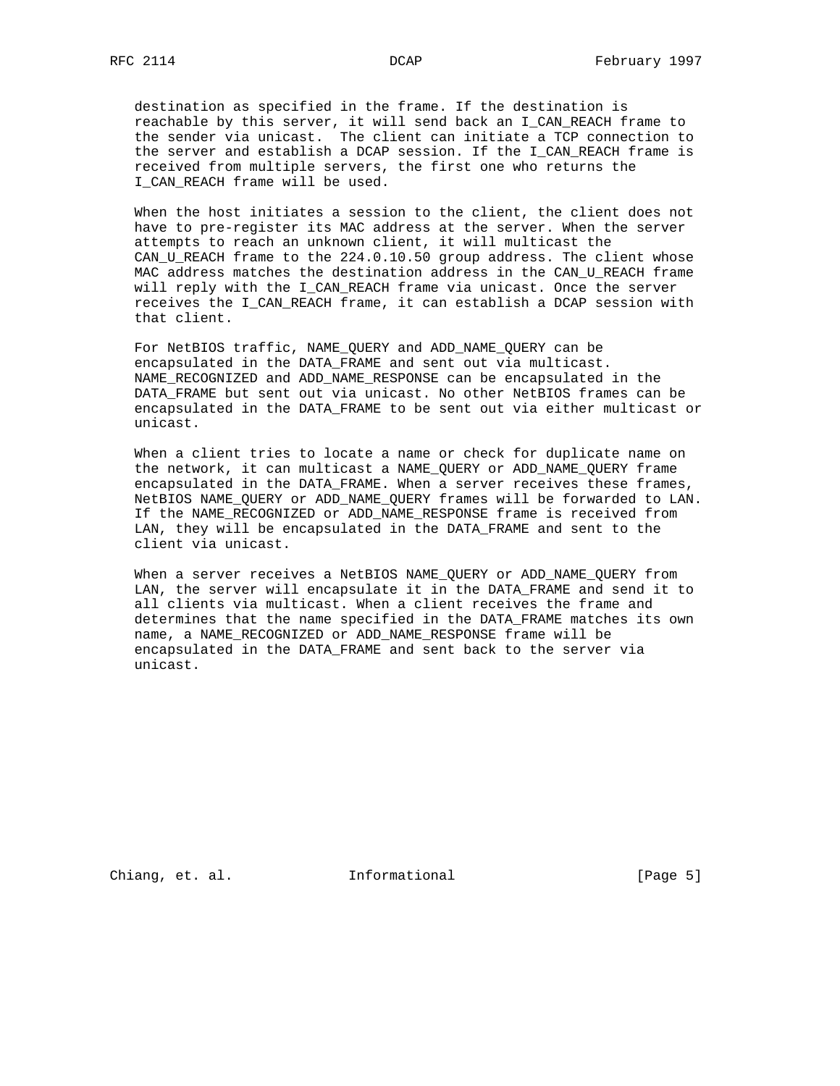destination as specified in the frame. If the destination is reachable by this server, it will send back an I\_CAN\_REACH frame to the sender via unicast. The client can initiate a TCP connection to the server and establish a DCAP session. If the I\_CAN\_REACH frame is received from multiple servers, the first one who returns the I\_CAN\_REACH frame will be used.

 When the host initiates a session to the client, the client does not have to pre-register its MAC address at the server. When the server attempts to reach an unknown client, it will multicast the CAN\_U\_REACH frame to the 224.0.10.50 group address. The client whose MAC address matches the destination address in the CAN\_U\_REACH frame will reply with the I\_CAN\_REACH frame via unicast. Once the server receives the I\_CAN\_REACH frame, it can establish a DCAP session with that client.

 For NetBIOS traffic, NAME\_QUERY and ADD\_NAME\_QUERY can be encapsulated in the DATA\_FRAME and sent out via multicast. NAME\_RECOGNIZED and ADD\_NAME\_RESPONSE can be encapsulated in the DATA\_FRAME but sent out via unicast. No other NetBIOS frames can be encapsulated in the DATA\_FRAME to be sent out via either multicast or unicast.

 When a client tries to locate a name or check for duplicate name on the network, it can multicast a NAME\_QUERY or ADD\_NAME\_QUERY frame encapsulated in the DATA\_FRAME. When a server receives these frames, NetBIOS NAME\_QUERY or ADD\_NAME\_QUERY frames will be forwarded to LAN. If the NAME\_RECOGNIZED or ADD\_NAME\_RESPONSE frame is received from LAN, they will be encapsulated in the DATA\_FRAME and sent to the client via unicast.

 When a server receives a NetBIOS NAME\_QUERY or ADD\_NAME\_QUERY from LAN, the server will encapsulate it in the DATA\_FRAME and send it to all clients via multicast. When a client receives the frame and determines that the name specified in the DATA\_FRAME matches its own name, a NAME\_RECOGNIZED or ADD\_NAME\_RESPONSE frame will be encapsulated in the DATA\_FRAME and sent back to the server via unicast.

Chiang, et. al. 1nformational 1999 [Page 5]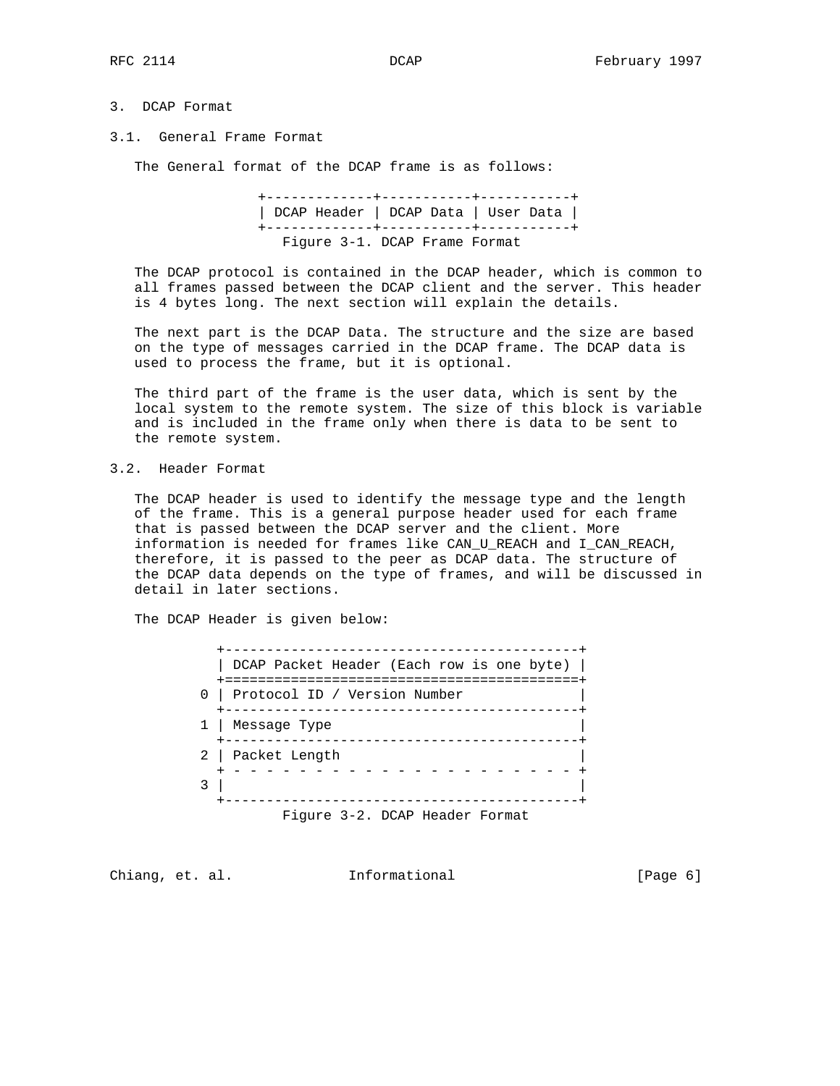### 3. DCAP Format

#### 3.1. General Frame Format

The General format of the DCAP frame is as follows:

 +-------------+-----------+-----------+ | DCAP Header | DCAP Data | User Data | +-------------+-----------+-----------+ Figure 3-1. DCAP Frame Format

 The DCAP protocol is contained in the DCAP header, which is common to all frames passed between the DCAP client and the server. This header is 4 bytes long. The next section will explain the details.

 The next part is the DCAP Data. The structure and the size are based on the type of messages carried in the DCAP frame. The DCAP data is used to process the frame, but it is optional.

 The third part of the frame is the user data, which is sent by the local system to the remote system. The size of this block is variable and is included in the frame only when there is data to be sent to the remote system.

3.2. Header Format

 The DCAP header is used to identify the message type and the length of the frame. This is a general purpose header used for each frame that is passed between the DCAP server and the client. More information is needed for frames like CAN\_U\_REACH and I\_CAN\_REACH, therefore, it is passed to the peer as DCAP data. The structure of the DCAP data depends on the type of frames, and will be discussed in detail in later sections.

The DCAP Header is given below:

| DCAP Packet Header (Each row is one byte)                                             |
|---------------------------------------------------------------------------------------|
| ===================================<br>Protocol ID / Version Number<br>0 <sup>1</sup> |
| 1   Message Type                                                                      |
| 2   Packet Length                                                                     |
|                                                                                       |
| — CONTECT P                                                                           |

Figure 3-2. DCAP Header Format

Chiang, et. al. 1nformational 1999 [Page 6]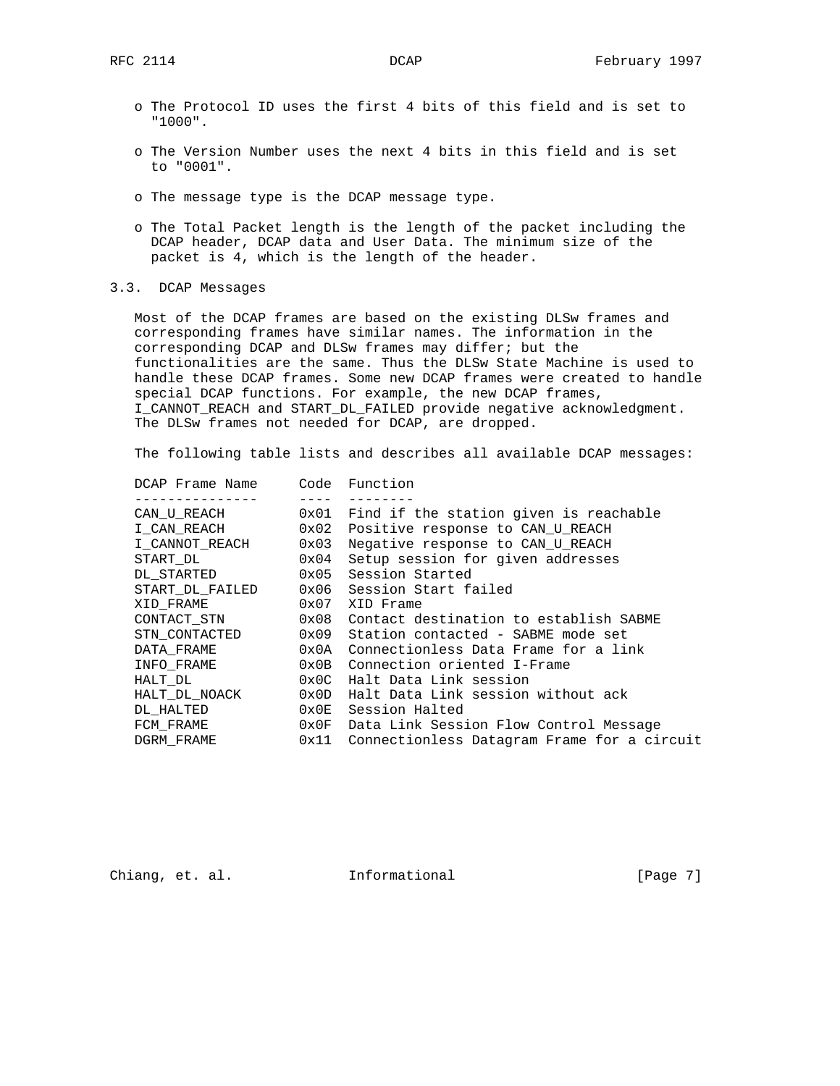- o The Protocol ID uses the first 4 bits of this field and is set to "1000".
- o The Version Number uses the next 4 bits in this field and is set to "0001".
- o The message type is the DCAP message type.
- o The Total Packet length is the length of the packet including the DCAP header, DCAP data and User Data. The minimum size of the packet is 4, which is the length of the header.
- 3.3. DCAP Messages

 Most of the DCAP frames are based on the existing DLSw frames and corresponding frames have similar names. The information in the corresponding DCAP and DLSw frames may differ; but the functionalities are the same. Thus the DLSw State Machine is used to handle these DCAP frames. Some new DCAP frames were created to handle special DCAP functions. For example, the new DCAP frames, I\_CANNOT\_REACH and START\_DL\_FAILED provide negative acknowledgment. The DLSw frames not needed for DCAP, are dropped.

The following table lists and describes all available DCAP messages:

| DCAP Frame Name |                | Code Function                               |
|-----------------|----------------|---------------------------------------------|
|                 |                |                                             |
| CAN U REACH     | 0x01           | Find if the station given is reachable      |
| I CAN REACH     | 0x02           | Positive response to CAN U REACH            |
| I CANNOT REACH  | 0x03           | Negative response to CAN U REACH            |
| START DL        | 0x04           | Setup session for given addresses           |
| DL STARTED      | 0x05           | Session Started                             |
| START DL FAILED | 0x06           | Session Start failed                        |
| XID FRAME       | 0x07           | XID Frame                                   |
| CONTACT STN     | 0x08           | Contact destination to establish SABME      |
| STN CONTACTED   | 0x09           | Station contacted - SABME mode set          |
| DATA FRAME      | 0x0A           | Connectionless Data Frame for a link        |
| INFO FRAME      | 0x0B           | Connection oriented I-Frame                 |
| HALT DL         | $0 \times 0 C$ | Halt Data Link session                      |
| HALT DL NOACK   | $0 \times 0$ D | Halt Data Link session without ack          |
| DL HALTED       | $0 \times 0E$  | Session Halted                              |
| FCM_FRAME       | $0 \times 0$ F | Data Link Session Flow Control Message      |
| DGRM FRAME      | 0x11           | Connectionless Datagram Frame for a circuit |

Chiang, et. al. **Informational** [Page 7]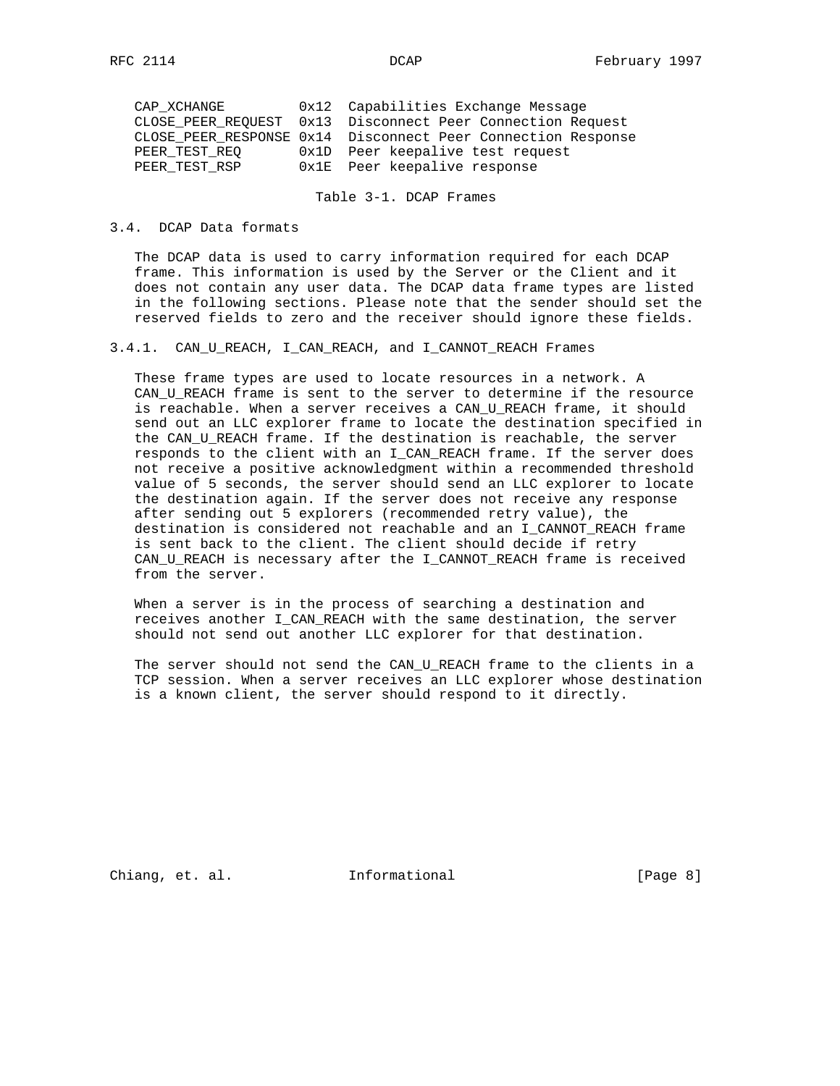| CAP XCHANGE   | 0x12 Capabilities Exchange Message                           |
|---------------|--------------------------------------------------------------|
|               | CLOSE PEER REOUEST 0x13 Disconnect Peer Connection Request   |
|               | CLOSE PEER RESPONSE 0x14 Disconnect Peer Connection Response |
| PEER TEST REO | 0x1D Peer keepalive test request                             |
| PEER_TEST_RSP | Ox1E Peer keepalive response                                 |
|               |                                                              |

Table 3-1. DCAP Frames

#### 3.4. DCAP Data formats

 The DCAP data is used to carry information required for each DCAP frame. This information is used by the Server or the Client and it does not contain any user data. The DCAP data frame types are listed in the following sections. Please note that the sender should set the reserved fields to zero and the receiver should ignore these fields.

### 3.4.1. CAN\_U\_REACH, I\_CAN\_REACH, and I\_CANNOT\_REACH Frames

 These frame types are used to locate resources in a network. A CAN\_U\_REACH frame is sent to the server to determine if the resource is reachable. When a server receives a CAN\_U\_REACH frame, it should send out an LLC explorer frame to locate the destination specified in the CAN\_U\_REACH frame. If the destination is reachable, the server responds to the client with an I\_CAN\_REACH frame. If the server does not receive a positive acknowledgment within a recommended threshold value of 5 seconds, the server should send an LLC explorer to locate the destination again. If the server does not receive any response after sending out 5 explorers (recommended retry value), the destination is considered not reachable and an I\_CANNOT\_REACH frame is sent back to the client. The client should decide if retry CAN\_U\_REACH is necessary after the I\_CANNOT\_REACH frame is received from the server.

 When a server is in the process of searching a destination and receives another I\_CAN\_REACH with the same destination, the server should not send out another LLC explorer for that destination.

The server should not send the CAN\_U\_REACH frame to the clients in a TCP session. When a server receives an LLC explorer whose destination is a known client, the server should respond to it directly.

Chiang, et. al. **Informational** [Page 8]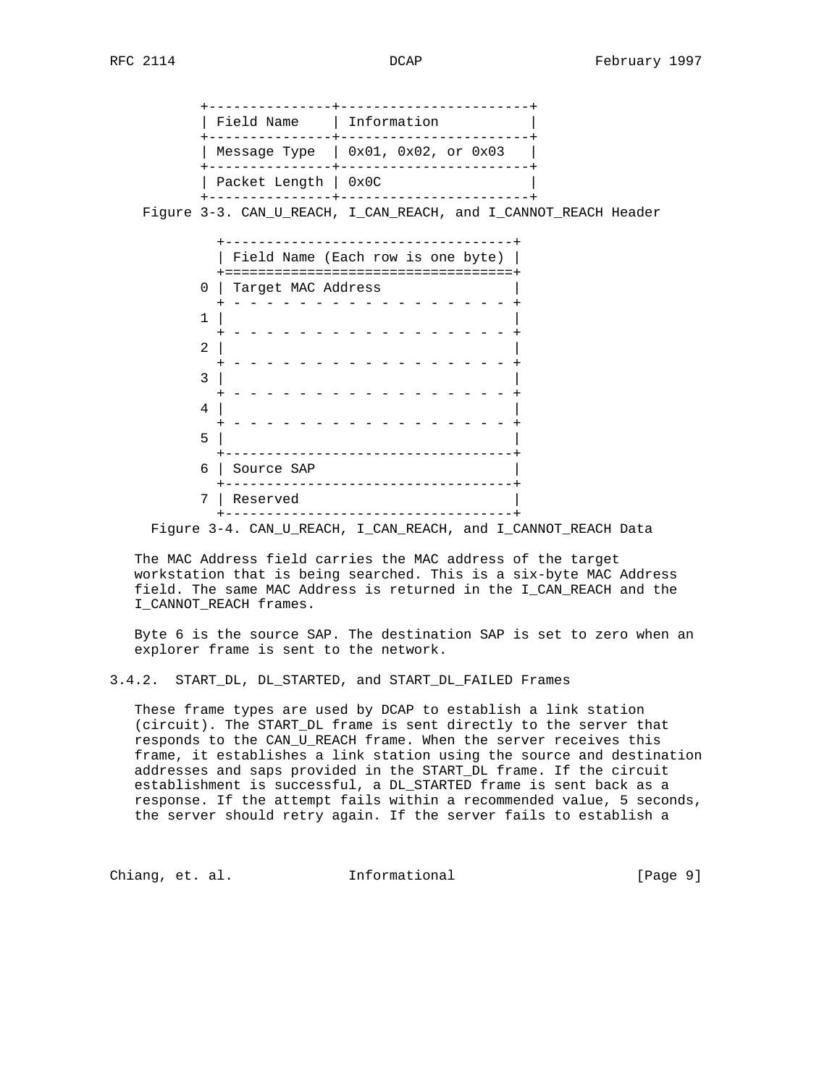| Field Name   Information |                                          |
|--------------------------|------------------------------------------|
|                          | Message Type $\vert$ 0x01, 0x02, or 0x03 |
| Packet Length   0x0C     |                                          |

Figure 3-3. CAN\_U\_REACH, I\_CAN\_REACH, and I\_CANNOT\_REACH Header

|                | Field Name (Each row is one byte) |
|----------------|-----------------------------------|
| 0              | Target MAC Address                |
| 1              |                                   |
| $\overline{2}$ |                                   |
| 3              |                                   |
| $\overline{4}$ |                                   |
| 5              |                                   |
| 6              | Source SAP                        |
| 7              | Reserved                          |

Figure 3-4. CAN\_U\_REACH, I\_CAN\_REACH, and I\_CANNOT\_REACH Data

 The MAC Address field carries the MAC address of the target workstation that is being searched. This is a six-byte MAC Address field. The same MAC Address is returned in the I\_CAN\_REACH and the I\_CANNOT\_REACH frames.

 Byte 6 is the source SAP. The destination SAP is set to zero when an explorer frame is sent to the network.

### 3.4.2. START\_DL, DL\_STARTED, and START\_DL\_FAILED Frames

 These frame types are used by DCAP to establish a link station (circuit). The START\_DL frame is sent directly to the server that responds to the CAN\_U\_REACH frame. When the server receives this frame, it establishes a link station using the source and destination addresses and saps provided in the START\_DL frame. If the circuit establishment is successful, a DL\_STARTED frame is sent back as a response. If the attempt fails within a recommended value, 5 seconds, the server should retry again. If the server fails to establish a

Chiang, et. al. **Informational** [Page 9]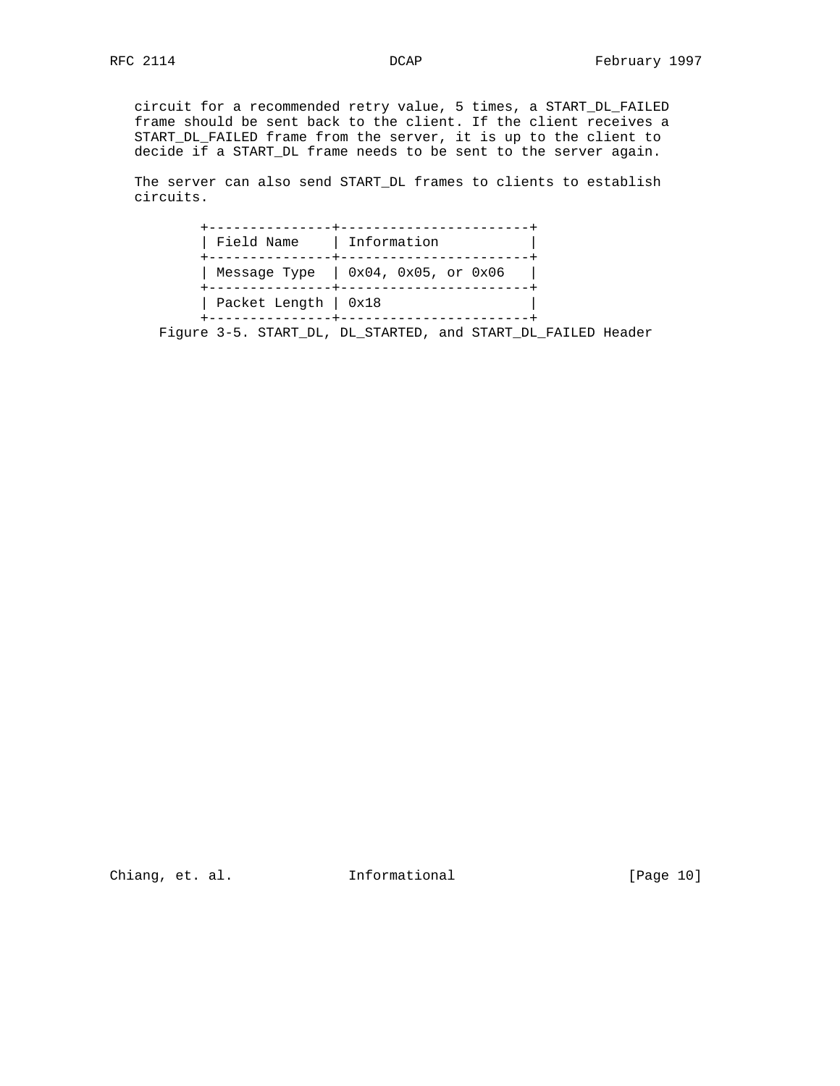circuit for a recommended retry value, 5 times, a START\_DL\_FAILED frame should be sent back to the client. If the client receives a START\_DL\_FAILED frame from the server, it is up to the client to decide if a START\_DL frame needs to be sent to the server again.

 The server can also send START\_DL frames to clients to establish circuits.

| Field Name   Information |                                          |
|--------------------------|------------------------------------------|
|                          | Message Type $\vert$ 0x04, 0x05, or 0x06 |
| Packet Length   0x18     |                                          |

Figure 3-5. START\_DL, DL\_STARTED, and START\_DL\_FAILED Header

Chiang, et. al. 1nformational [Page 10]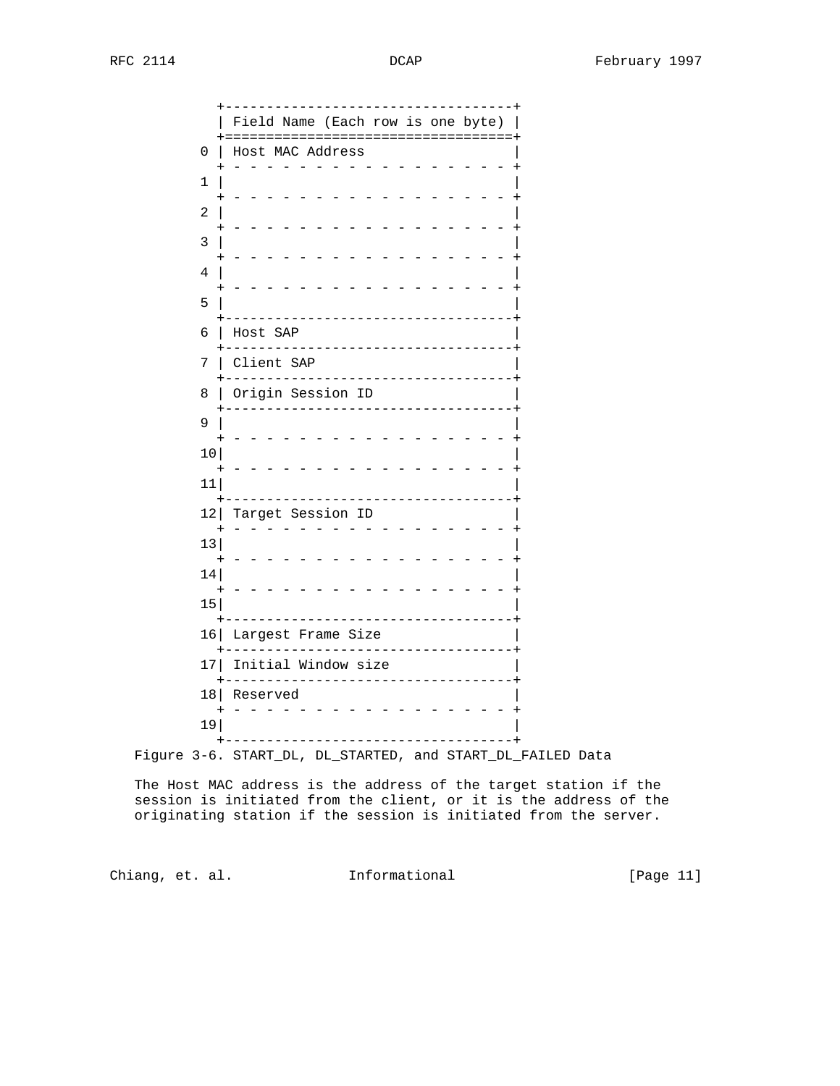|    | Field Name (Each row is one byte)                       |
|----|---------------------------------------------------------|
| 0  | ===================================<br>Host MAC Address |
| 1  |                                                         |
| 2  |                                                         |
| 3  |                                                         |
| 4  |                                                         |
| 5  |                                                         |
| б  | Host SAP                                                |
| 7  | Client SAP                                              |
| 8  | Origin Session ID                                       |
| 9  |                                                         |
| 10 |                                                         |
| 11 |                                                         |
| 12 | Target Session ID                                       |
| 13 |                                                         |
| 14 |                                                         |
| 15 |                                                         |
| 16 | Largest Frame Size                                      |
| 17 | Initial Window size                                     |
| 18 | Reserved                                                |
| 19 |                                                         |

Figure 3-6. START\_DL, DL\_STARTED, and START\_DL\_FAILED Data

 The Host MAC address is the address of the target station if the session is initiated from the client, or it is the address of the originating station if the session is initiated from the server.

Chiang, et. al. 1nformational [Page 11]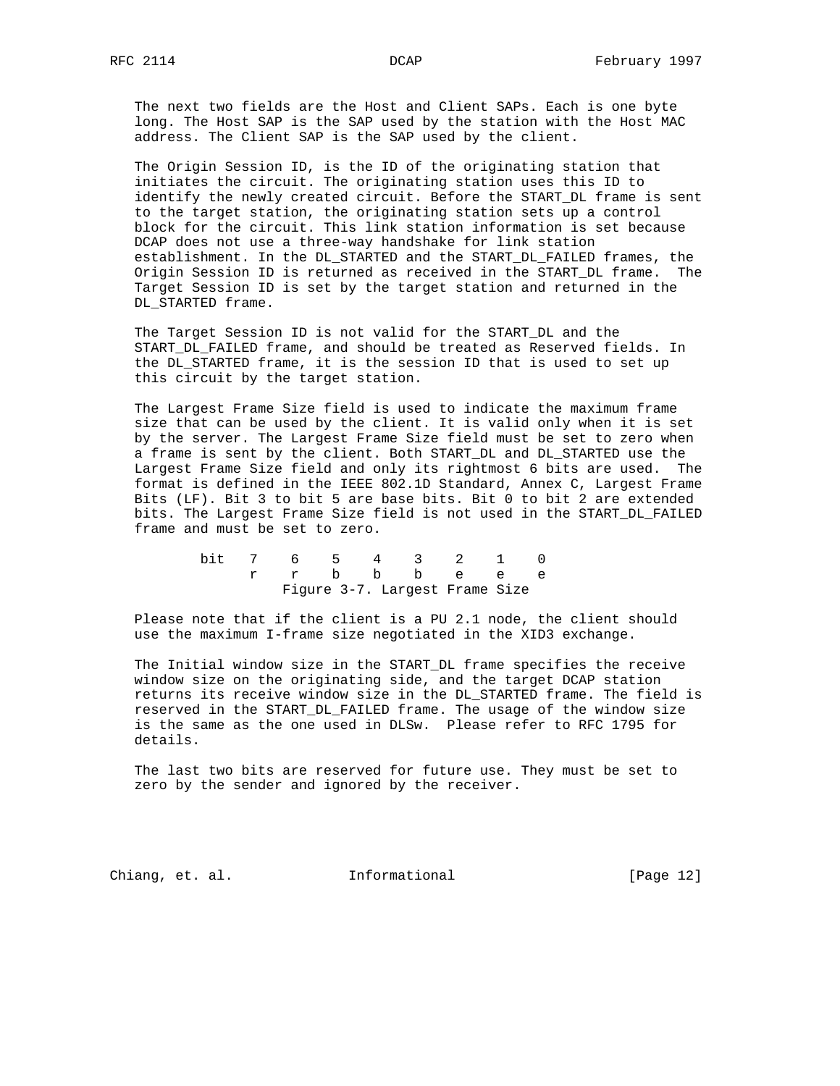The next two fields are the Host and Client SAPs. Each is one byte long. The Host SAP is the SAP used by the station with the Host MAC address. The Client SAP is the SAP used by the client.

 The Origin Session ID, is the ID of the originating station that initiates the circuit. The originating station uses this ID to identify the newly created circuit. Before the START\_DL frame is sent to the target station, the originating station sets up a control block for the circuit. This link station information is set because DCAP does not use a three-way handshake for link station establishment. In the DL\_STARTED and the START\_DL\_FAILED frames, the Origin Session ID is returned as received in the START\_DL frame. The Target Session ID is set by the target station and returned in the DL\_STARTED frame.

 The Target Session ID is not valid for the START\_DL and the START\_DL\_FAILED frame, and should be treated as Reserved fields. In the DL\_STARTED frame, it is the session ID that is used to set up this circuit by the target station.

 The Largest Frame Size field is used to indicate the maximum frame size that can be used by the client. It is valid only when it is set by the server. The Largest Frame Size field must be set to zero when a frame is sent by the client. Both START\_DL and DL\_STARTED use the Largest Frame Size field and only its rightmost 6 bits are used. The format is defined in the IEEE 802.1D Standard, Annex C, Largest Frame Bits (LF). Bit 3 to bit 5 are base bits. Bit 0 to bit 2 are extended bits. The Largest Frame Size field is not used in the START\_DL\_FAILED frame and must be set to zero.

|  |  |  | bit 7 6 5 4 3 2 1 0            |  |
|--|--|--|--------------------------------|--|
|  |  |  | r r b b b e e e                |  |
|  |  |  | Figure 3-7. Largest Frame Size |  |

 Please note that if the client is a PU 2.1 node, the client should use the maximum I-frame size negotiated in the XID3 exchange.

 The Initial window size in the START\_DL frame specifies the receive window size on the originating side, and the target DCAP station returns its receive window size in the DL\_STARTED frame. The field is reserved in the START\_DL\_FAILED frame. The usage of the window size is the same as the one used in DLSw. Please refer to RFC 1795 for details.

 The last two bits are reserved for future use. They must be set to zero by the sender and ignored by the receiver.

Chiang, et. al. **Informational** [Page 12]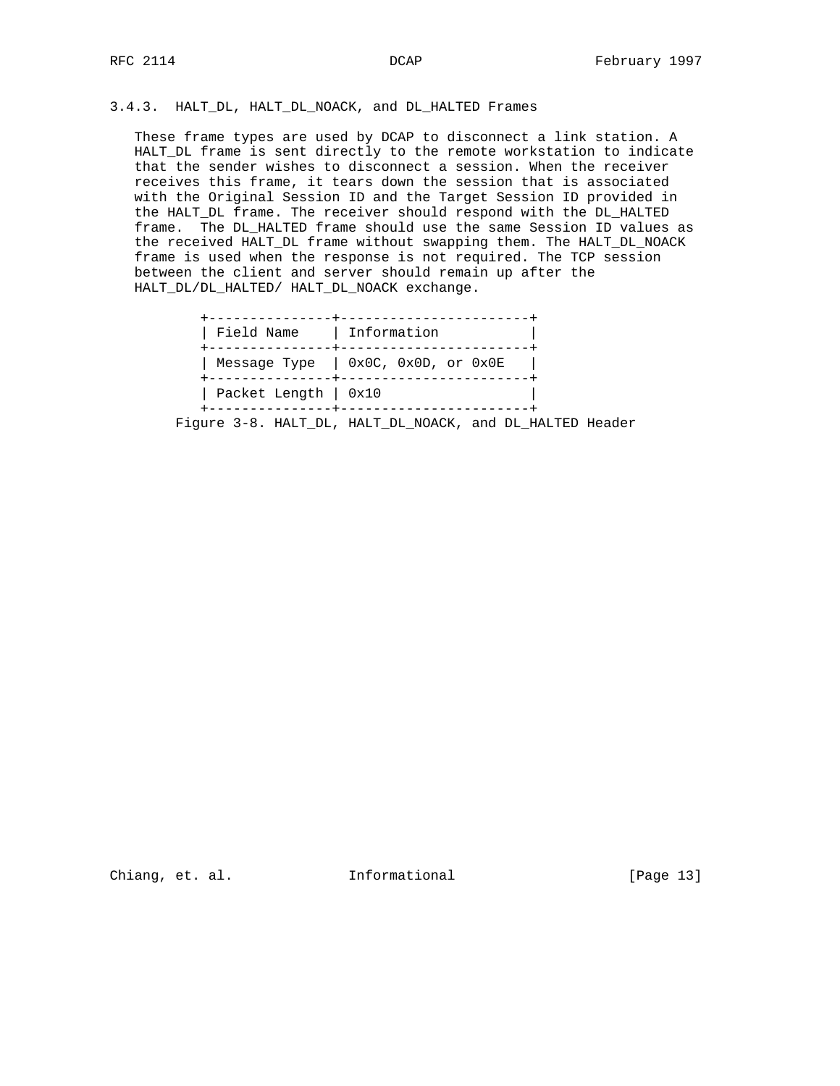# 3.4.3. HALT\_DL, HALT\_DL\_NOACK, and DL\_HALTED Frames

 These frame types are used by DCAP to disconnect a link station. A HALT DL frame is sent directly to the remote workstation to indicate that the sender wishes to disconnect a session. When the receiver receives this frame, it tears down the session that is associated with the Original Session ID and the Target Session ID provided in the HALT\_DL frame. The receiver should respond with the DL\_HALTED frame. The DL\_HALTED frame should use the same Session ID values as the received HALT\_DL frame without swapping them. The HALT\_DL\_NOACK frame is used when the response is not required. The TCP session between the client and server should remain up after the HALT\_DL/DL\_HALTED/ HALT\_DL\_NOACK exchange.

| Field Name   Information |                                      |
|--------------------------|--------------------------------------|
|                          | Message Type $ $ 0x0C, 0x0D, or 0x0E |
| Packet Length   0x10     |                                      |

Figure 3-8. HALT\_DL, HALT\_DL\_NOACK, and DL\_HALTED Header

Chiang, et. al. 1nformational [Page 13]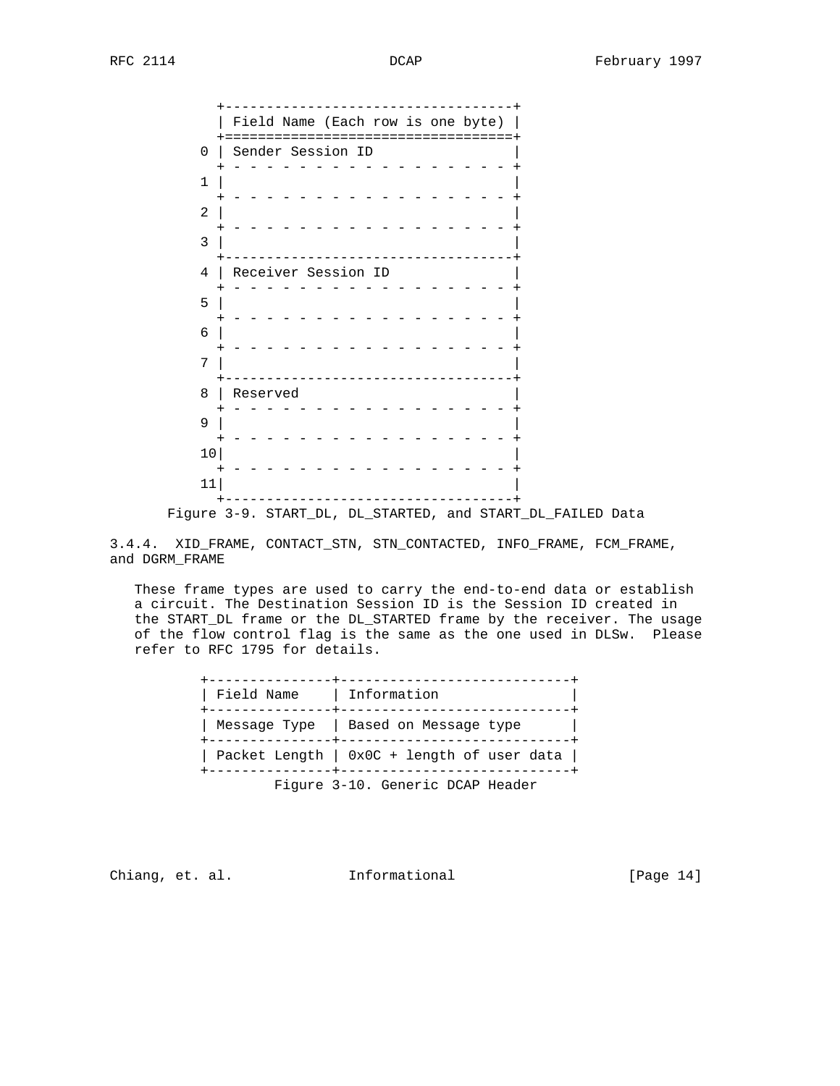+-----------------------------------+ | Field Name (Each row is one byte) | +===================================+ 0 | Sender Session ID + - - - - - - - - - - - - - - - - - + 1 | | + - - - - - - - - - - - - - - - - - +  $2$  | + - - - - - - - - - - - - - - - - - + 3 | | +-----------------------------------+ 4 | Receiver Session ID | + - - - - - - - - - - - - - - - - - + 5 | | + - - - - - - - - - - - - - - - - - + 6 | | + - - - - - - - - - - - - - - - - - + 7 | | +-----------------------------------+ 8 | Reserved | + - - - - - - - - - - - - - - - - - + 9 | | + - - - - - - - - - - - - - - - - - +  $10$  | + - - - - - - - - - - - - - - - - - +  $11$  | +-----------------------------------+ Figure 3-9. START\_DL, DL\_STARTED, and START\_DL\_FAILED Data

3.4.4. XID\_FRAME, CONTACT\_STN, STN\_CONTACTED, INFO\_FRAME, FCM\_FRAME, and DGRM\_FRAME

 These frame types are used to carry the end-to-end data or establish a circuit. The Destination Session ID is the Session ID created in the START\_DL frame or the DL\_STARTED frame by the receiver. The usage of the flow control flag is the same as the one used in DLSw. Please refer to RFC 1795 for details.

| Field Name | Information                                |
|------------|--------------------------------------------|
|            | Message Type   Based on Message type       |
|            | Packet Length   0x0C + length of user data |
|            | Figure 3-10. Generic DCAP Header           |

Chiang, et. al. **Informational** [Page 14]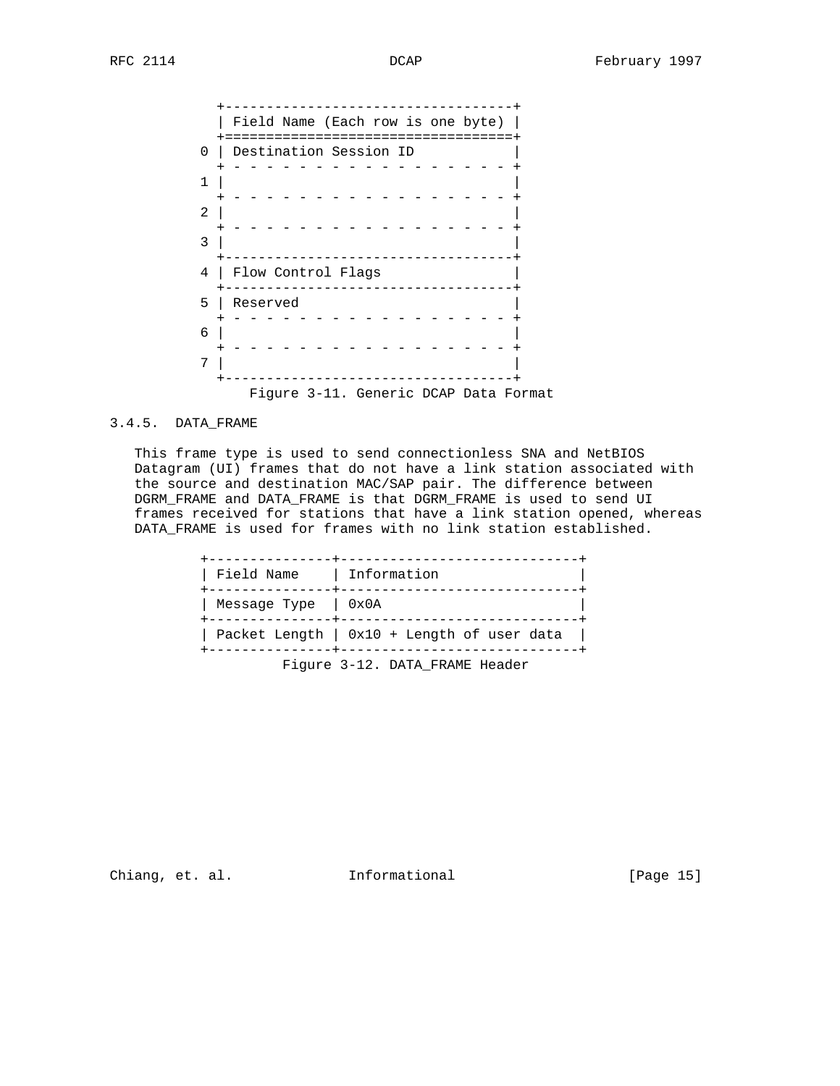|          | Field Name (Each row is one byte)     |
|----------|---------------------------------------|
| $\Omega$ | Destination Session ID                |
|          |                                       |
| 1        |                                       |
| 2        |                                       |
| 3        |                                       |
| 4        | Flow Control Flags                    |
| 5        | ___________<br>Reserved               |
| 6        |                                       |
| 7        |                                       |
|          |                                       |
|          | Figure 3-11. Generic DCAP Data Format |

# 3.4.5. DATA\_FRAME

 This frame type is used to send connectionless SNA and NetBIOS Datagram (UI) frames that do not have a link station associated with the source and destination MAC/SAP pair. The difference between DGRM\_FRAME and DATA\_FRAME is that DGRM\_FRAME is used to send UI frames received for stations that have a link station opened, whereas DATA\_FRAME is used for frames with no link station established.

| Field Name   Information |                                                          |
|--------------------------|----------------------------------------------------------|
| Message Type   0x0A      |                                                          |
|                          | Packet Length $\vert$ 0x10 + Length of user data $\vert$ |
|                          | Figure 3-12. DATA FRAME Header                           |

Chiang, et. al. 1nformational [Page 15]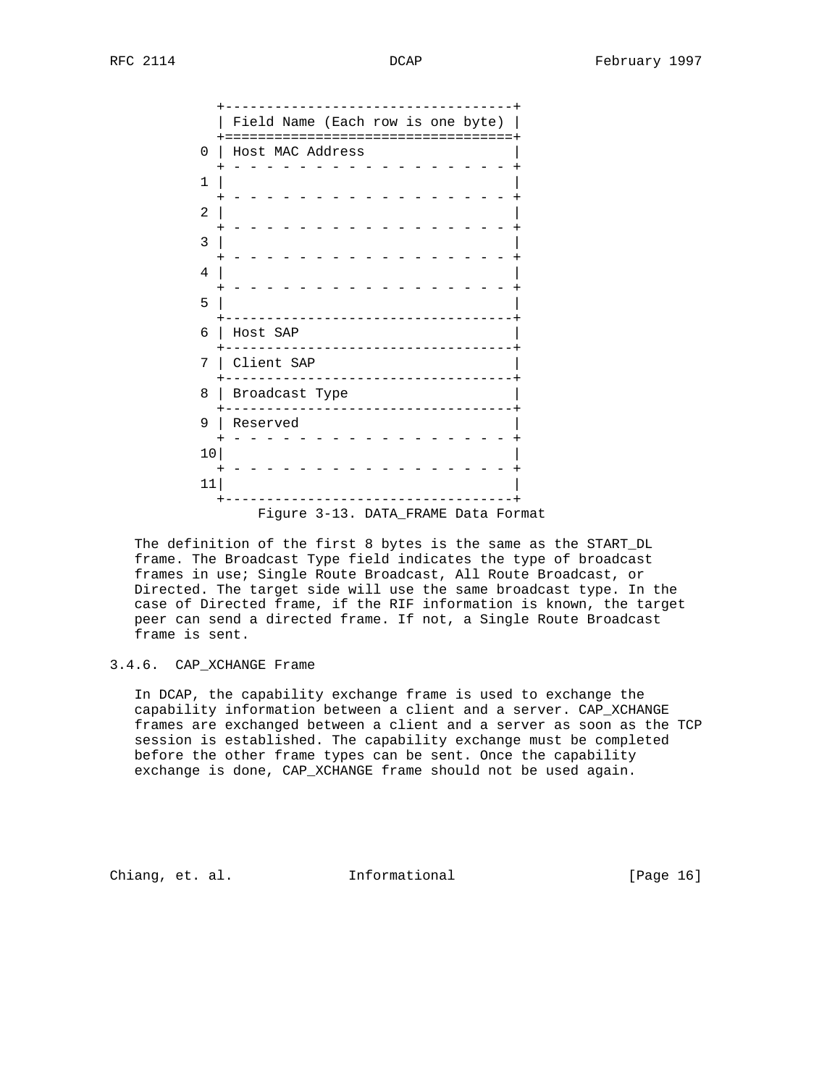|                | Field Name (Each row is one byte)   |
|----------------|-------------------------------------|
| 0              | Host MAC Address                    |
| 1              |                                     |
| $\overline{2}$ |                                     |
| 3              |                                     |
| 4              |                                     |
| 5              |                                     |
| 6              | Host SAP                            |
| 7              | Client SAP                          |
| 8              | Broadcast Type                      |
| 9              | Reserved                            |
| 10             |                                     |
| 11             |                                     |
|                | Figure 3-13. DATA_FRAME Data Format |

 The definition of the first 8 bytes is the same as the START\_DL frame. The Broadcast Type field indicates the type of broadcast frames in use; Single Route Broadcast, All Route Broadcast, or Directed. The target side will use the same broadcast type. In the case of Directed frame, if the RIF information is known, the target peer can send a directed frame. If not, a Single Route Broadcast frame is sent.

### 3.4.6. CAP\_XCHANGE Frame

 In DCAP, the capability exchange frame is used to exchange the capability information between a client and a server. CAP\_XCHANGE frames are exchanged between a client and a server as soon as the TCP session is established. The capability exchange must be completed before the other frame types can be sent. Once the capability exchange is done, CAP\_XCHANGE frame should not be used again.

Chiang, et. al. **Informational** [Page 16]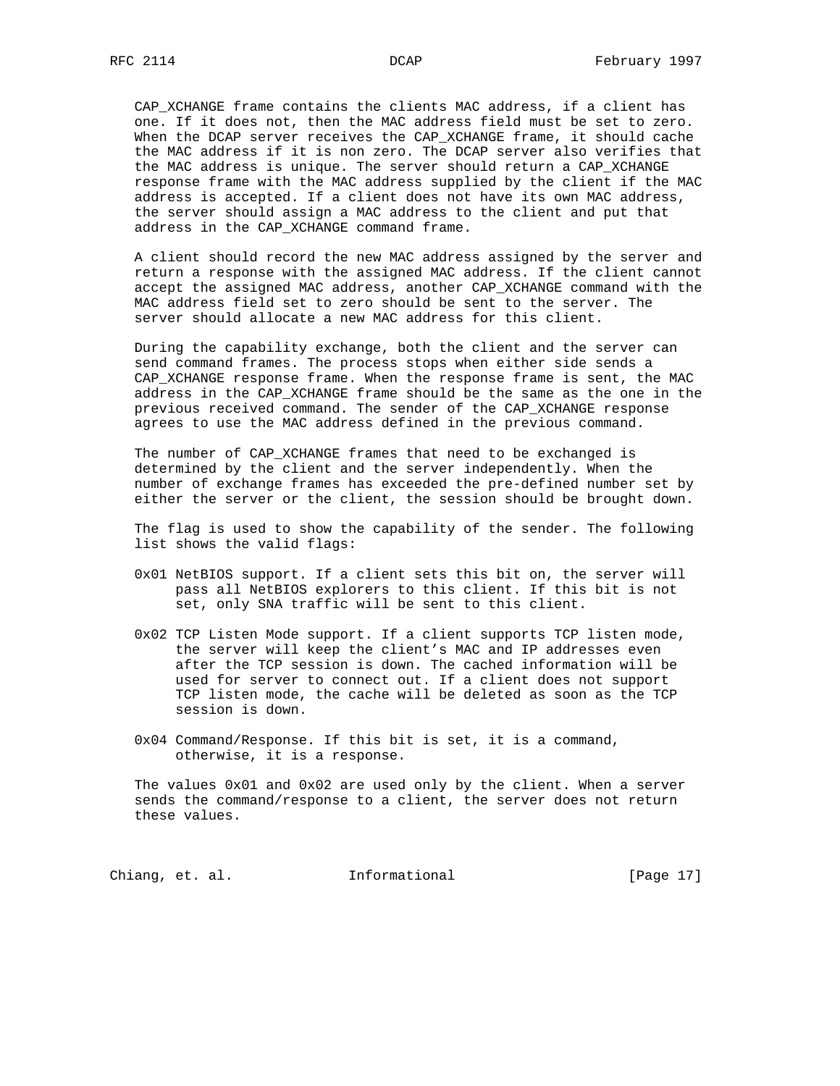CAP\_XCHANGE frame contains the clients MAC address, if a client has one. If it does not, then the MAC address field must be set to zero. When the DCAP server receives the CAP\_XCHANGE frame, it should cache the MAC address if it is non zero. The DCAP server also verifies that the MAC address is unique. The server should return a CAP\_XCHANGE response frame with the MAC address supplied by the client if the MAC address is accepted. If a client does not have its own MAC address, the server should assign a MAC address to the client and put that address in the CAP\_XCHANGE command frame.

 A client should record the new MAC address assigned by the server and return a response with the assigned MAC address. If the client cannot accept the assigned MAC address, another CAP\_XCHANGE command with the MAC address field set to zero should be sent to the server. The server should allocate a new MAC address for this client.

 During the capability exchange, both the client and the server can send command frames. The process stops when either side sends a CAP\_XCHANGE response frame. When the response frame is sent, the MAC address in the CAP\_XCHANGE frame should be the same as the one in the previous received command. The sender of the CAP\_XCHANGE response agrees to use the MAC address defined in the previous command.

 The number of CAP\_XCHANGE frames that need to be exchanged is determined by the client and the server independently. When the number of exchange frames has exceeded the pre-defined number set by either the server or the client, the session should be brought down.

 The flag is used to show the capability of the sender. The following list shows the valid flags:

- 0x01 NetBIOS support. If a client sets this bit on, the server will pass all NetBIOS explorers to this client. If this bit is not set, only SNA traffic will be sent to this client.
- 0x02 TCP Listen Mode support. If a client supports TCP listen mode, the server will keep the client's MAC and IP addresses even after the TCP session is down. The cached information will be used for server to connect out. If a client does not support TCP listen mode, the cache will be deleted as soon as the TCP session is down.
- 0x04 Command/Response. If this bit is set, it is a command, otherwise, it is a response.

 The values 0x01 and 0x02 are used only by the client. When a server sends the command/response to a client, the server does not return these values.

Chiang, et. al. 1nformational [Page 17]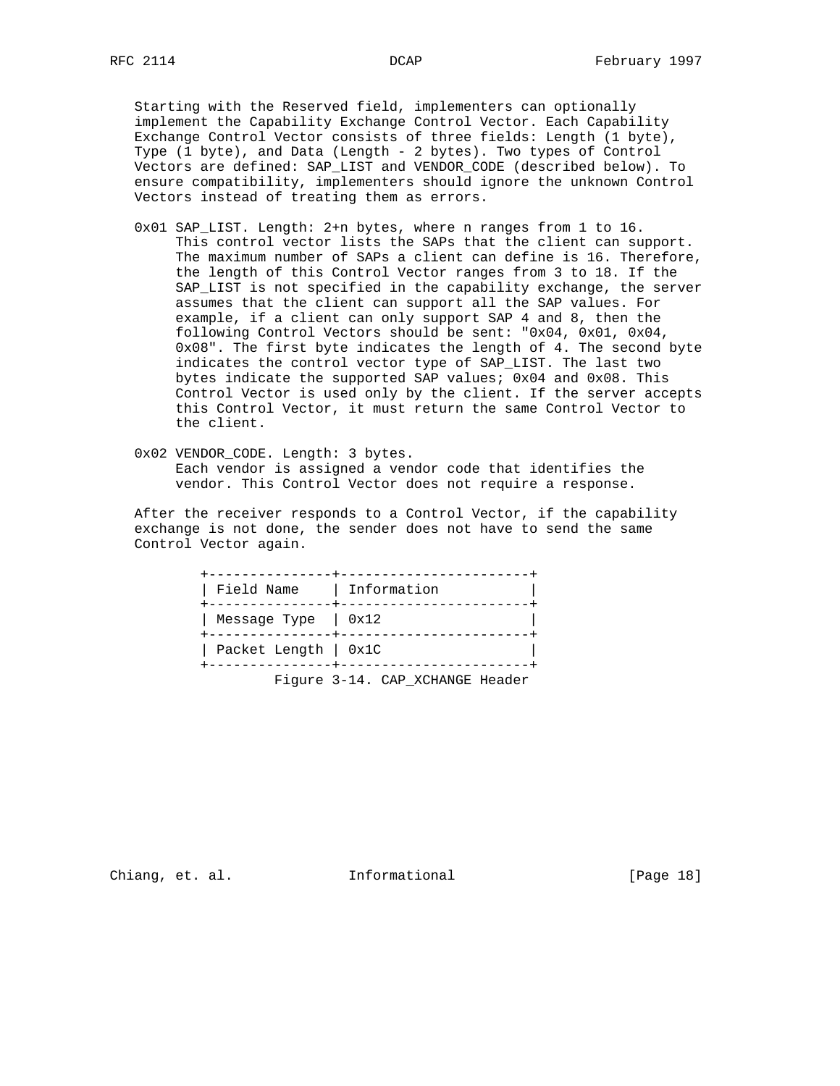Starting with the Reserved field, implementers can optionally implement the Capability Exchange Control Vector. Each Capability Exchange Control Vector consists of three fields: Length (1 byte), Type (1 byte), and Data (Length - 2 bytes). Two types of Control Vectors are defined: SAP\_LIST and VENDOR\_CODE (described below). To ensure compatibility, implementers should ignore the unknown Control Vectors instead of treating them as errors.

- 0x01 SAP\_LIST. Length: 2+n bytes, where n ranges from 1 to 16. This control vector lists the SAPs that the client can support. The maximum number of SAPs a client can define is 16. Therefore, the length of this Control Vector ranges from 3 to 18. If the SAP LIST is not specified in the capability exchange, the server assumes that the client can support all the SAP values. For example, if a client can only support SAP 4 and 8, then the following Control Vectors should be sent: "0x04, 0x01, 0x04, 0x08". The first byte indicates the length of 4. The second byte indicates the control vector type of SAP\_LIST. The last two bytes indicate the supported SAP values; 0x04 and 0x08. This Control Vector is used only by the client. If the server accepts this Control Vector, it must return the same Control Vector to the client.
- 0x02 VENDOR\_CODE. Length: 3 bytes. Each vendor is assigned a vendor code that identifies the vendor. This Control Vector does not require a response.

 After the receiver responds to a Control Vector, if the capability exchange is not done, the sender does not have to send the same Control Vector again.

| Field Name   Information |                                 |
|--------------------------|---------------------------------|
| Message Type $  0x12$    |                                 |
| Packet Length   0x1C     |                                 |
|                          | Figure 3-14. CAP_XCHANGE Header |

Chiang, et. al. **Informational** [Page 18]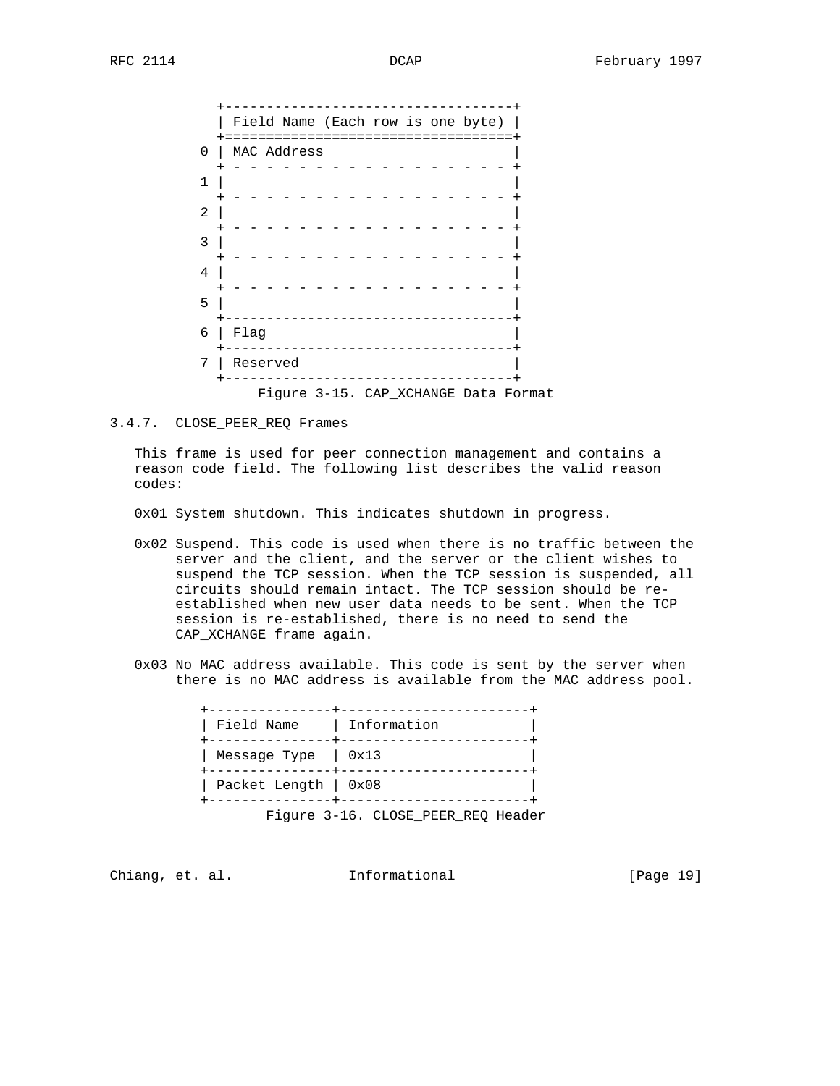| $\Omega$<br>1<br>2<br>3<br>4<br>5<br>6 | Field Name (Each row is one byte)<br>MAC Address |  |
|----------------------------------------|--------------------------------------------------|--|
|                                        |                                                  |  |
|                                        |                                                  |  |
|                                        |                                                  |  |
|                                        |                                                  |  |
|                                        |                                                  |  |
|                                        |                                                  |  |
|                                        |                                                  |  |
|                                        | Flag                                             |  |
| 7                                      | Reserved                                         |  |

3.4.7. CLOSE\_PEER\_REQ Frames

 This frame is used for peer connection management and contains a reason code field. The following list describes the valid reason codes:

0x01 System shutdown. This indicates shutdown in progress.

- 0x02 Suspend. This code is used when there is no traffic between the server and the client, and the server or the client wishes to suspend the TCP session. When the TCP session is suspended, all circuits should remain intact. The TCP session should be re established when new user data needs to be sent. When the TCP session is re-established, there is no need to send the CAP\_XCHANGE frame again.
- 0x03 No MAC address available. This code is sent by the server when there is no MAC address is available from the MAC address pool.

| Field Name   Information  |                                    |
|---------------------------|------------------------------------|
| Message Type $\vert$ 0x13 |                                    |
| Packet Length   0x08      |                                    |
|                           | Figure 3-16. CLOSE PEER REQ Header |

Chiang, et. al. **Informational** [Page 19]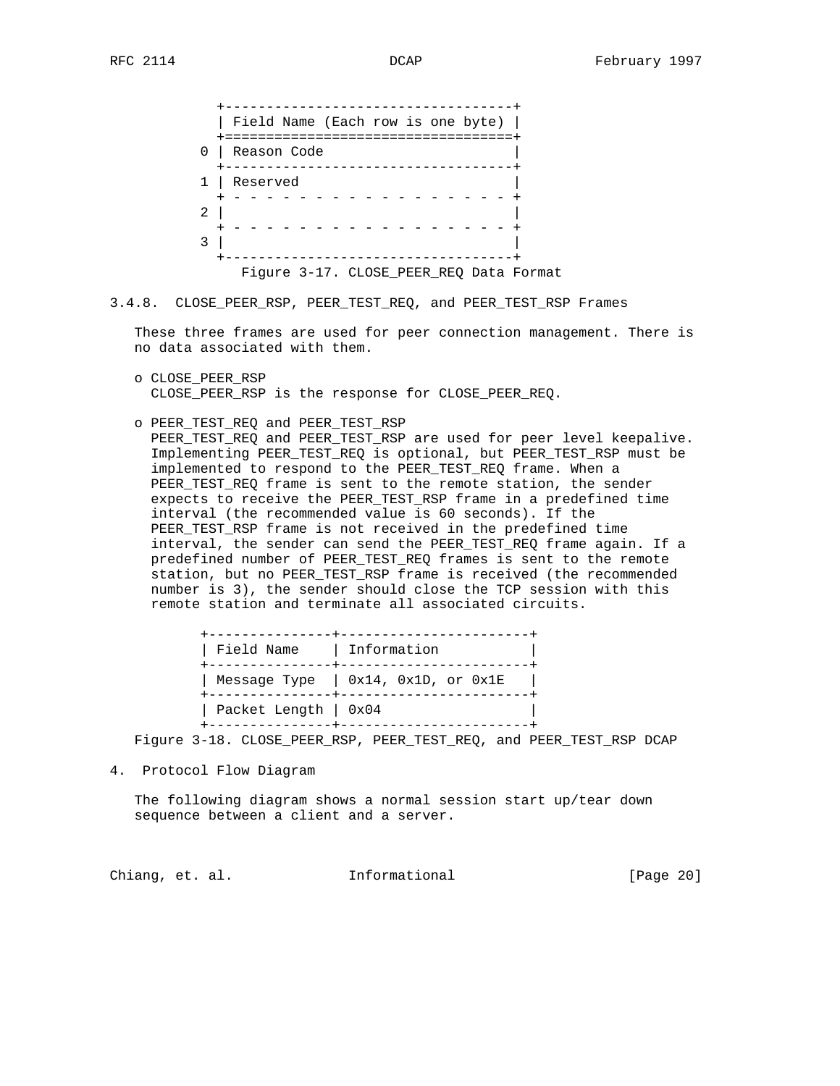|   | Field Name (Each row is one byte)       |
|---|-----------------------------------------|
|   | ====================                    |
| 0 | Reason Code                             |
|   |                                         |
|   | Reserved                                |
|   |                                         |
| 2 |                                         |
|   |                                         |
|   |                                         |
|   |                                         |
|   | Figure 3-17. CLOSE_PEER_REQ Data Format |

3.4.8. CLOSE\_PEER\_RSP, PEER\_TEST\_REQ, and PEER\_TEST\_RSP Frames

 These three frames are used for peer connection management. There is no data associated with them.

- o CLOSE\_PEER\_RSP CLOSE\_PEER\_RSP is the response for CLOSE\_PEER\_REQ.
- o PEER\_TEST\_REQ and PEER\_TEST\_RSP

 PEER\_TEST\_REQ and PEER\_TEST\_RSP are used for peer level keepalive. Implementing PEER\_TEST\_REQ is optional, but PEER\_TEST\_RSP must be implemented to respond to the PEER\_TEST\_REQ frame. When a PEER\_TEST\_REQ frame is sent to the remote station, the sender expects to receive the PEER\_TEST\_RSP frame in a predefined time interval (the recommended value is 60 seconds). If the PEER\_TEST\_RSP frame is not received in the predefined time interval, the sender can send the PEER\_TEST\_REQ frame again. If a predefined number of PEER\_TEST\_REQ frames is sent to the remote station, but no PEER\_TEST\_RSP frame is received (the recommended number is 3), the sender should close the TCP session with this remote station and terminate all associated circuits.

| Field Name   Information |                                      |
|--------------------------|--------------------------------------|
|                          | Message Type $ $ 0x14, 0x1D, or 0x1E |
| Packet Length   0x04     |                                      |

Figure 3-18. CLOSE\_PEER\_RSP, PEER\_TEST\_REQ, and PEER\_TEST\_RSP DCAP

4. Protocol Flow Diagram

 The following diagram shows a normal session start up/tear down sequence between a client and a server.

Chiang, et. al. **Informational** [Page 20]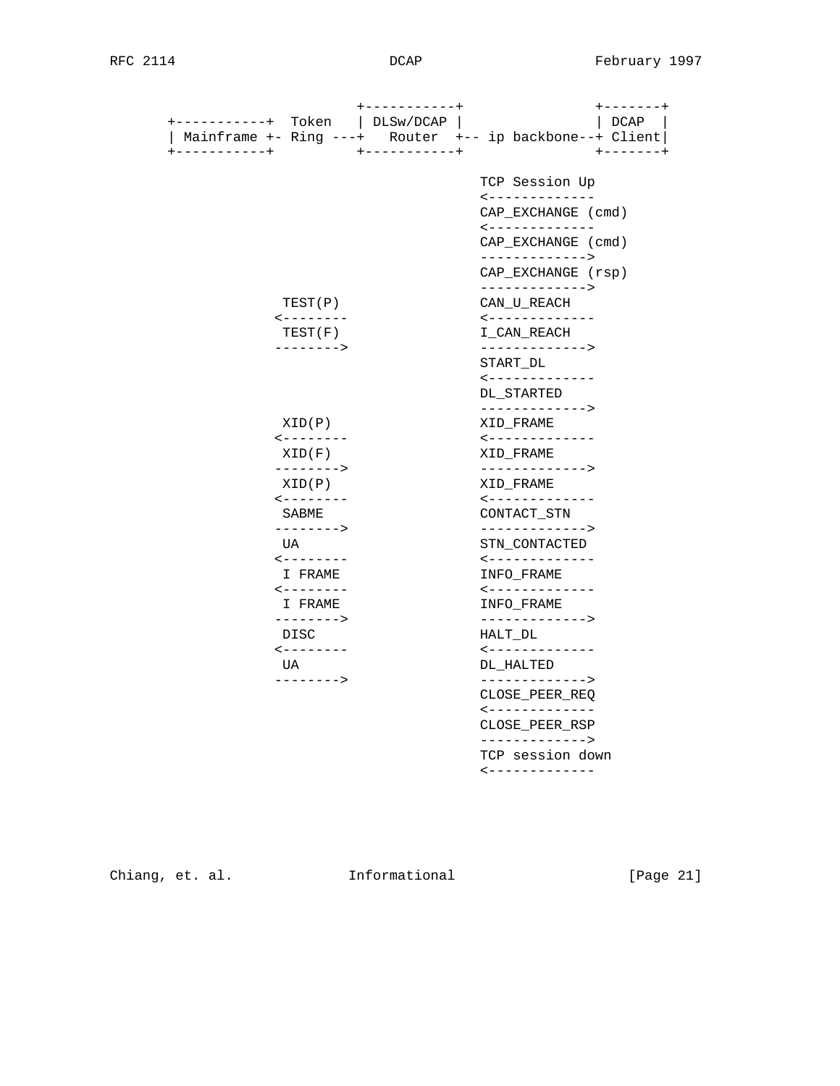| +----------+<br>Token                      | +-----------+<br>$+ - - - - - - +$<br>DLSw/DCAP<br>DCAP<br>Router +-- ip backbone--+ Client |
|--------------------------------------------|---------------------------------------------------------------------------------------------|
| Mainframe $+-$ Ring $---+$<br>+----------+ | $+ - - - - - - - - - +$<br>$+ - - - - - - +$                                                |
|                                            | TCP Session Up                                                                              |
|                                            | -------------<br>CAP_EXCHANGE (cmd)                                                         |
|                                            | -------------<br>CAP EXCHANGE (cmd)                                                         |
|                                            | -------------><br>CAP_EXCHANGE (rsp)                                                        |
| TEST(P)                                    | -------------><br>CAN_U_REACH                                                               |
| $- - - - - - - - -$<br>TEST(F)             | -------------<br>I_CAN_REACH                                                                |
| -------->                                  | -------------><br>START DL                                                                  |
|                                            | -------------<br>DL_STARTED                                                                 |
| XID(P)                                     | -------------><br>XID_FRAME                                                                 |
| $\leftarrow$ - - - - - - -<br>XID(F)       | -------------<br>XID FRAME                                                                  |
| $-------->$<br>XID(P)                      | -------------><br>XID FRAME                                                                 |
| $- - - - - - - - -$<br>SABME               | -------------<br>CONTACT_STN                                                                |
| --------><br>UA                            | -------------><br>STN CONTACTED                                                             |
| $- - - - - - - - -$<br>I FRAME             | -------------<br>INFO FRAME                                                                 |
| $- - - - - - - - -$<br>I FRAME             | -------------<br>INFO FRAME                                                                 |
| --------><br>DISC                          | -------------><br>HALT_DL                                                                   |
| $- - - - - - - - -$<br>UA                  | <-------------<br>DL_HALTED                                                                 |
| -------->                                  | -------------><br>CLOSE_PEER_REQ                                                            |
|                                            | <-------------<br>CLOSE_PEER_RSP                                                            |
|                                            | -------------><br>TCP session down                                                          |
|                                            | <-------------                                                                              |

Chiang, et. al. 1nformational 1999 [Page 21]